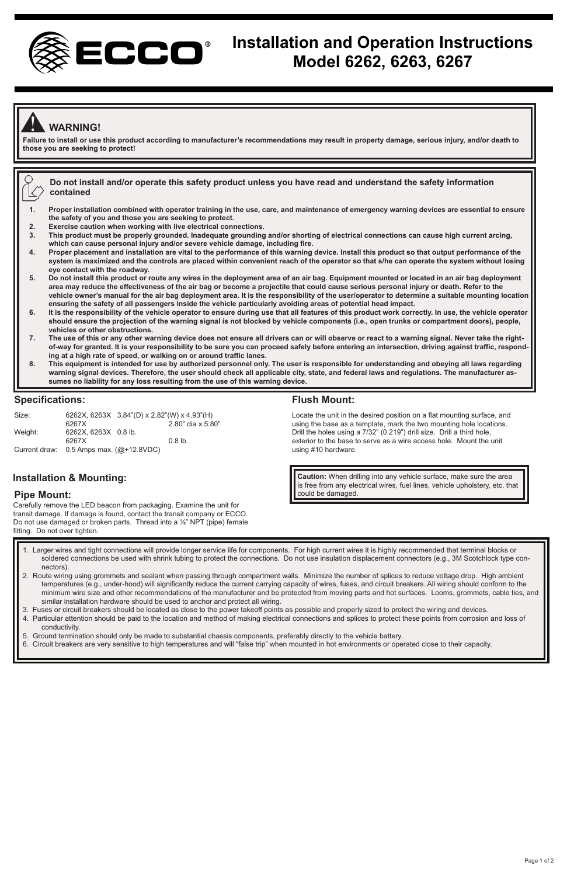

# **Installation and Operation Instructions Model 6262, 6263, 6267**

# ! **WARNING!**

**Failure to install or use this product according to manufacturer's recommendations may result in property damage, serious injury, and/or death to those you are seeking to protect!** 

**Do not install and/or operate this safety product unless you have read and understand the safety information** K **contained** 

- **1. Proper installation combined with operator training in the use, care, and maintenance of emergency warning devices are essential to ensure the safety of you and those you are seeking to protect.**
- **2. Exercise caution when working with live electrical connections.**
- **3. This product must be properly grounded. Inadequate grounding and/or shorting of electrical connections can cause high current arcing, which can cause personal injury and/or severe vehicle damage, including fire.**
- **4. Proper placement and installation are vital to the performance of this warning device. Install this product so that output performance of the system is maximized and the controls are placed within convenient reach of the operator so that s/he can operate the system without losing eye contact with the roadway.**
- **5. Do not install this product or route any wires in the deployment area of an air bag. Equipment mounted or located in an air bag deployment area may reduce the effectiveness of the air bag or become a projectile that could cause serious personal injury or death. Refer to the vehicle owner's manual for the air bag deployment area. It is the responsibility of the user/operator to determine a suitable mounting location ensuring the safety of all passengers inside the vehicle particularly avoiding areas of potential head impact.**
- **6. It is the responsibility of the vehicle operator to ensure during use that all features of this product work correctly. In use, the vehicle operator should ensure the projection of the warning signal is not blocked by vehicle components (i.e., open trunks or compartment doors), people, vehicles or other obstructions.**
- **7. The use of this or any other warning device does not ensure all drivers can or will observe or react to a warning signal. Never take the rightof-way for granted. It is your responsibility to be sure you can proceed safely before entering an intersection, driving against traffic, responding at a high rate of speed, or walking on or around traffic lanes.**
- **8. This equipment is intended for use by authorized personnel only. The user is responsible for understanding and obeying all laws regarding warning signal devices. Therefore, the user should check all applicable city, state, and federal laws and regulations. The manufacturer assumes no liability for any loss resulting from the use of this warning device.**

#### **Specifications:**

| Size:         |                           | 6262X, 6263X 3.84"(D) x 2.82"(W) x 4.93"(H) |                   |
|---------------|---------------------------|---------------------------------------------|-------------------|
|               | 6267X                     |                                             | 2.80" dia x 5.80" |
| Weight:       | 6262X, 6263X 0.8 lb.      |                                             |                   |
|               | 6267X                     |                                             | $0.8$ lb.         |
| Current draw: | 0.5 Amps max. (@+12.8VDC) |                                             |                   |

#### **Flush Mount:**

Locate the unit in the desired position on a flat mounting surface, and using the base as a template, mark the two mounting hole locations. Drill the holes using a 7/32" (0.219") drill size. Drill a third hole, exterior to the base to serve as a wire access hole. Mount the unit using #10 hardware.

**Caution:** When drilling into any vehicle surface, make sure the area is free from any electrical wires, fuel lines, vehicle upholstery, etc. that could be damaged.

**Installation & Mounting:**

### **Pipe Mount:**

Carefully remove the LED beacon from packaging. Examine the unit for transit damage. If damage is found, contact the transit company or ECCO. Do not use damaged or broken parts. Thread into a ½" NPT (pipe) female fitting. Do not over tighten.

- 2. Route wiring using grommets and sealant when passing through compartment walls. Minimize the number of splices to reduce voltage drop. High ambient 1. Larger wires and tight connections will provide longer service life for components. For high current wires it is highly recommended that terminal blocks or soldered connections be used with shrink tubing to protect the connections. Do not use insulation displacement connectors (e.g., 3M Scotchlock type connectors).
- temperatures (e.g., under-hood) will significantly reduce the current carrying capacity of wires, fuses, and circuit breakers. All wiring should conform to the minimum wire size and other recommendations of the manufacturer and be protected from moving parts and hot surfaces. Looms, grommets, cable ties, and similar installation hardware should be used to anchor and protect all wiring.
- 3. Fuses or circuit breakers should be located as close to the power takeoff points as possible and properly sized to protect the wiring and devices. 4. Particular attention should be paid to the location and method of making electrical connections and splices to protect these points from corrosion and loss of conductivity.
- 5. Ground termination should only be made to substantial chassis components, preferably directly to the vehicle battery.
- 6. Circuit breakers are very sensitive to high temperatures and will "false trip" when mounted in hot environments or operated close to their capacity.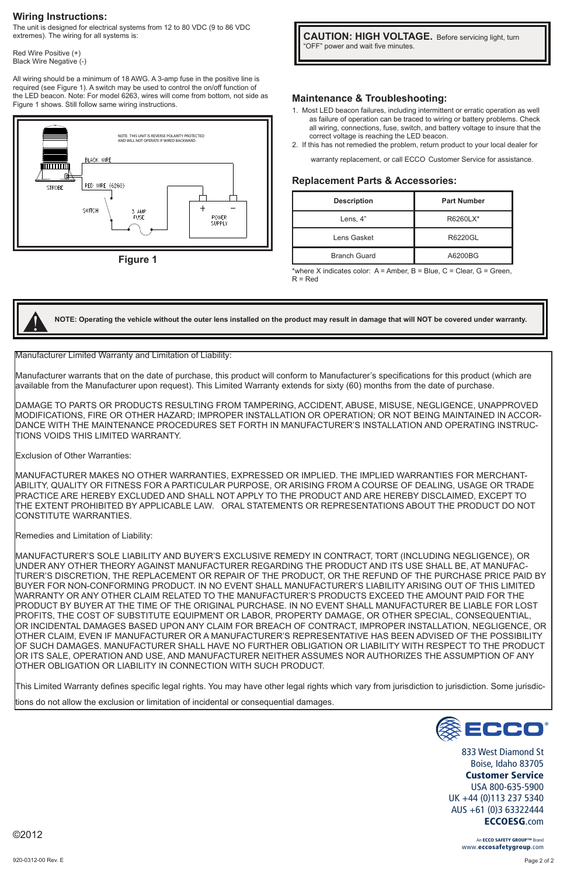#### **Wiring Instructions:**

The unit is designed for electrical systems from 12 to 80 VDC (9 to 86 VDC extremes). The wiring for all systems is:

Red Wire Positive (+) Black Wire Negative (-)

All wiring should be a minimum of 18 AWG. A 3-amp fuse in the positive line is required (see Figure 1). A switch may be used to control the on/off function of the LED beacon. Note: For model 6263, wires will come from bottom, not side as<br>Figure 1 shows. Still follow same wiring instructions.



 $\overline{\phantom{a}}$ **CAUTION: HIGH VOLTAGE.** Before servicing light, turn "OFF" power and wait five minutes.

#### **Maintenance & Troubleshooting:**

- 1. Most LED beacon failures, including intermittent or erratic operation as well as failure of operation can be traced to wiring or battery problems. Check all wiring, connections, fuse, switch, and battery voltage to insure that the correct voltage is reaching the LED beacon.
- 2. If this has not remedied the problem, return product to your local dealer for warranty replacement, or call ECCO Customer Service for assistance.

#### **Replacement Parts & Accessories:**

| <b>Description</b>  | <b>Part Number</b> |  |
|---------------------|--------------------|--|
| Lens, 4"            | R6260LX*           |  |
| Lens Gasket         | R6220GL            |  |
| <b>Branch Guard</b> | A6200BG            |  |

\*where X indicates color: A = Amber, B = Blue, C = Clear, G = Green,  $R = Red$ 

**NOTE: Operating the vehicle without the outer lens installed on the product may result in damage that will NOT be covered under warranty.**

Manufacturer Limited Warranty and Limitation of Liability:

Manufacturer warrants that on the date of purchase, this product will conform to Manufacturer's specifications for this product (which are available from the Manufacturer upon request). This Limited Warranty extends for sixty (60) months from the date of purchase.

DAMAGE TO PARTS OR PRODUCTS RESULTING FROM TAMPERING, ACCIDENT, ABUSE, MISUSE, NEGLIGENCE, UNAPPROVED MODIFICATIONS, FIRE OR OTHER HAZARD; IMPROPER INSTALLATION OR OPERATION; OR NOT BEING MAINTAINED IN ACCOR-<br>DANCE WITH THE MAINTENANCE PROCEDURES SET FORTH IN MANUFACTURER'S INSTALLATION AND OPERATING INSTRUC-TIONS VOIDS THIS LIMITED WARRANTY.

Exclusion of Other Warranties:

<u>ו</u>

MANUFACTURER MAKES NO OTHER WARRANTIES, EXPRESSED OR IMPLIED. THE IMPLIED WARRANTIES FOR MERCHANT-ABILITY, QUALITY OR FITNESS FOR A PARTICULAR PURPOSE, OR ARISING FROM A COURSE OF DEALING, USAGE OR TRADE PRACTICE ARE HEREBY EXCLUDED AND SHALL NOT APPLY TO THE PRODUCT AND ARE HEREBY DISCLAIMED, EXCEPT TO THE EXTENT PROHIBITED BY APPLICABLE LAW. ORAL STATEMENTS OR REPRESENTATIONS ABOUT THE PRODUCT DO NOT CONSTITUTE WARRANTIES.

Remedies and Limitation of Liability:

MANUFACTURER'S SOLE LIABILITY AND BUYER'S EXCLUSIVE REMEDY IN CONTRACT, TORT (INCLUDING NEGLIGENCE), OR UNDER ANY OTHER THEORY AGAINST MANUFACTURER REGARDING THE PRODUCT AND ITS USE SHALL BE, AT MANUFAC-TURER'S DISCRETION, THE REPLACEMENT OR REPAIR OF THE PRODUCT, OR THE REFUND OF THE PURCHASE PRICE PAID BY BUYER FOR NON-CONFORMING PRODUCT. IN NO EVENT SHALL MANUFACTURER'S LIABILITY ARISING OUT OF THIS LIMITED WARRANTY OR ANY OTHER CLAIM RELATED TO THE MANUFACTURER'S PRODUCTS EXCEED THE AMOUNT PAID FOR THE PRODUCT BY BUYER AT THE TIME OF THE ORIGINAL PURCHASE. IN NO EVENT SHALL MANUFACTURER BE LIABLE FOR LOST PROFITS, THE COST OF SUBSTITUTE EQUIPMENT OR LABOR, PROPERTY DAMAGE, OR OTHER SPECIAL, CONSEQUENTIAL, OR INCIDENTAL DAMAGES BASED UPON ANY CLAIM FOR BREACH OF CONTRACT, IMPROPER INSTALLATION, NEGLIGENCE, OR OTHER CLAIM, EVEN IF MANUFACTURER OR A MANUFACTURER'S REPRESENTATIVE HAS BEEN ADVISED OF THE POSSIBILITY OF SUCH DAMAGES. MANUFACTURER SHALL HAVE NO FURTHER OBLIGATION OR LIABILITY WITH RESPECT TO THE PRODUCT OR ITS SALE, OPERATION AND USE, AND MANUFACTURER NEITHER ASSUMES NOR AUTHORIZES THE ASSUMPTION OF ANY OTHER OBLIGATION OR LIABILITY IN CONNECTION WITH SUCH PRODUCT.

This Limited Warranty defines specific legal rights. You may have other legal rights which vary from jurisdiction to jurisdiction. Some jurisdic-

tions do not allow the exclusion or limitation of incidental or consequential damages.



833 West Diamond St Boise, Idaho 83705 Customer Service USA 800-635-5900 UK +44 (0)113 237 5340 AUS +61 (0)3 63322444 ECCOESG.com

> An ECCO SAFETY GROUP www.eccosafetygroup.com

©2012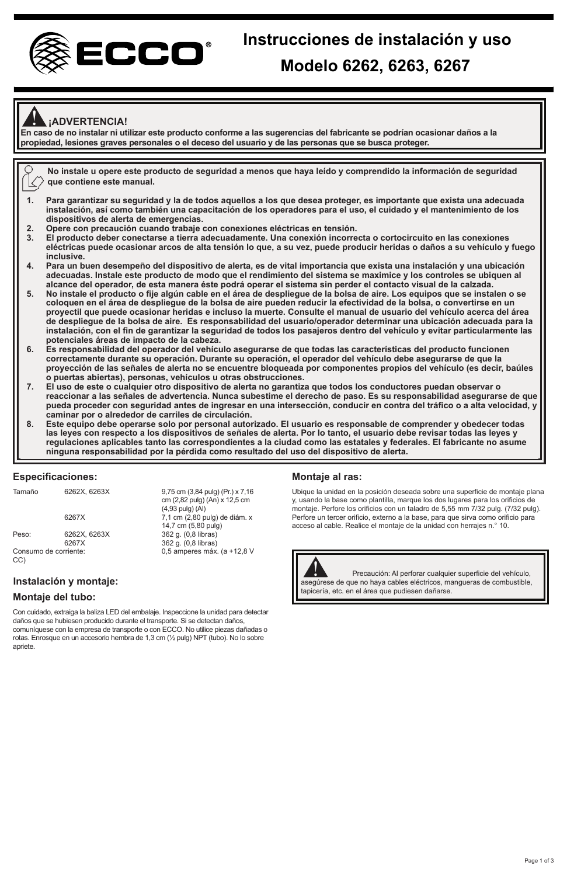

## **¡ADVERTENCIA!**

**En caso de no instalar ni utilizar este producto conforme a las sugerencias del fabricante se podrían ocasionar daños a la**  ! **propiedad, lesiones graves personales o el deceso del usuario y de las personas que se busca proteger.**



- **3. El producto deber conectarse a tierra adecuadamente. Una conexión incorrecta o cortocircuito en las conexiones eléctricas puede ocasionar arcos de alta tensión lo que, a su vez, puede producir heridas o daños a su vehículo y fuego inclusive.**
- **4. Para un buen desempeño del dispositivo de alerta, es de vital importancia que exista una instalación y una ubicación adecuadas. Instale este producto de modo que el rendimiento del sistema se maximice y los controles se ubiquen al alcance del operador, de esta manera éste podrá operar el sistema sin perder el contacto visual de la calzada.**
- **5. No instale el producto o fije algún cable en el área de despliegue de la bolsa de aire. Los equipos que se instalen o se coloquen en el área de despliegue de la bolsa de aire pueden reducir la efectividad de la bolsa, o convertirse en un proyectil que puede ocasionar heridas e incluso la muerte. Consulte el manual de usuario del vehículo acerca del área de despliegue de la bolsa de aire. Es responsabilidad del usuario/operador determinar una ubicación adecuada para la instalación, con el fin de garantizar la seguridad de todos los pasajeros dentro del vehículo y evitar particularmente las**
- **potenciales áreas de impacto de la cabeza. 6. Es responsabilidad del operador del vehículo asegurarse de que todas las características del producto funcionen correctamente durante su operación. Durante su operación, el operador del vehículo debe asegurarse de que la proyección de las señales de alerta no se encuentre bloqueada por componentes propios del vehículo (es decir, baúles o puertas abiertas), personas, vehículos u otras obstrucciones.**
- **7. El uso de este o cualquier otro dispositivo de alerta no garantiza que todos los conductores puedan observar o reaccionar a las señales de advertencia. Nunca subestime el derecho de paso. Es su responsabilidad asegurarse de que pueda proceder con seguridad antes de ingresar en una intersección, conducir en contra del tráfico o a alta velocidad, y caminar por o alrededor de carriles de circulación.**
- 8. Este equipo debe operarse solo por personal autorizado. El usuario es responsable de comprender y obedecer todas<br>Ias leyes con respecto a los dispositivos de señales de alerta. Por lo tanto, el usuario debe revisar toda **regulaciones aplicables tanto las correspondientes a la ciudad como las estatales y federales. El fabricante no asume ninguna responsabilidad por la pérdida como resultado del uso del dispositivo de alerta.**

#### **Especificaciones:**

| Tamaño                       | 6262X, 6263X | 9,75 cm (3,84 pulg) (Pr.) x 7,16<br>cm (2,82 pulg) (An) x 12,5 cm<br>$(4.93 \text{ pula}) (Al)$ |
|------------------------------|--------------|-------------------------------------------------------------------------------------------------|
|                              | 6267X        | 7,1 cm (2,80 pulg) de diám. x<br>14,7 cm (5,80 pulg)                                            |
| Peso:                        | 6262X, 6263X | 362 g. (0,8 libras)                                                                             |
|                              | 6267X        | 362 g. (0,8 libras)                                                                             |
| Consumo de corriente:<br>CC) |              | 0,5 amperes máx. (a +12,8 V                                                                     |

### **Montaje del tubo:**

Con cuidado, extraiga la baliza LED del embalaje. Inspeccione la unidad para detectar daños que se hubiesen producido durante el transporte. Si se detectan daños, comuníquese con la empresa de transporte o con ECCO. No utilice piezas dañadas o rotas. Enrosque en un accesorio hembra de 1,3 cm (½ pulg) NPT (tubo). No lo sobre apriete.

#### **Montaje al ras:**

Ubique la unidad en la posición deseada sobre una superficie de montaje plana y, usando la base como plantilla, marque los dos lugares para los orificios de montaje. Perfore los orificios con un taladro de 5,55 mm 7/32 pulg. (7/32 pulg). Perfore un tercer orificio, externo a la base, para que sirva como orificio para acceso al cable. Realice el montaje de la unidad con herrajes n.° 10.



UC)<br> **Instalación y montaje:**<br> **Instalación y montaje:** en activación: Al perforar cualquier superficie del vehículo, tapicería, etc. en el área que pudiesen dañarse.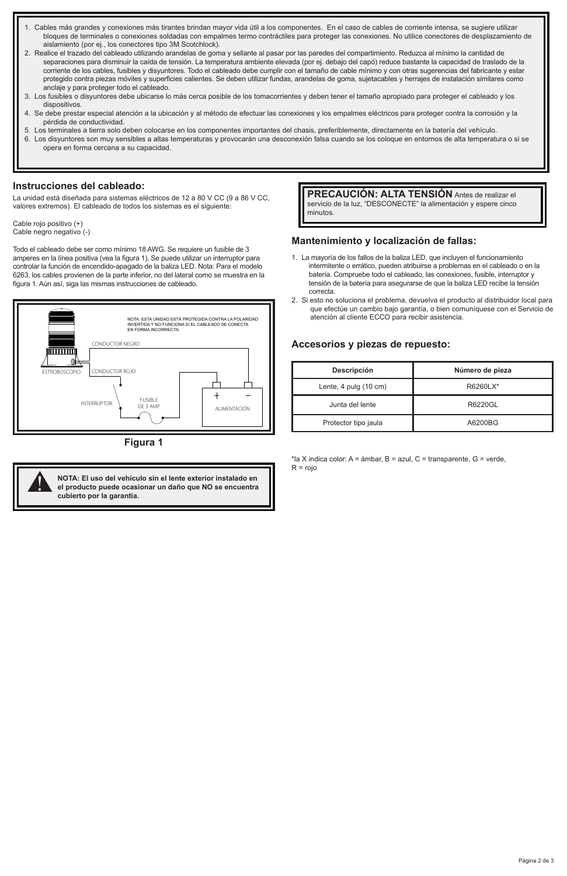- 1. Cables más grandes y conexiones más tirantes brindan mayor vida útil a los componentes. En el caso de cables de corriente intensa, se sugiere utilizar bloques de terminales o conexiones soldadas con empalmes termo contráctiles para proteger las conexiones. No utilice conectores de desplazamiento de aislamiento (por ej., los conectores tipo 3M Scotchlock).
- 2. Realice el trazado del cableado utilizando arandelas de goma y sellante al pasar por las paredes del compartimiento. Reduzca al mínimo la cantidad de separaciones para disminuir la caída de tensión. La temperatura ambiente elevada (por ej. debajo del capó) reduce bastante la capacidad de traslado de la corriente de los cables, fusibles y disyuntores. Todo el cableado debe cumplir con el tamaño de cable mínimo y con otras sugerencias del fabricante y estar protegido contra piezas móviles y superficies calientes. Se deben utilizar fundas, arandelas de goma, sujetacables y herrajes de instalación similares como anclaje y para proteger todo el cableado.
- 3. Los fusibles o disyuntores debe ubicarse lo más cerca posible de los tomacorrientes y deben tener el tamaño apropiado para proteger el cableado y los dispositivos.
- 4. Se debe prestar especial atención a la ubicación y al método de efectuar las conexiones y los empalmes eléctricos para proteger contra la corrosión y la pérdida de conductividad.
- 5. Los terminales a tierra solo deben colocarse en los componentes importantes del chasis, preferiblemente, directamente en la batería del vehículo.
- 6. Los disyuntores son muy sensibles a altas temperaturas y provocarán una desconexión falsa cuando se los coloque en entornos de alta temperatura o si se opera en forma cercana a su capacidad.

#### **Instrucciones del cableado:**

La unidad está diseñada para sistemas eléctricos de 12 a 80 V CC (9 a 86 V CC, valores extremos). El cableado de todos los sistemas es el siguiente:

Cable rojo positivo (+) Cable negro negativo (-)

Todo el cableado debe ser como mínimo 18 AWG. Se requiere un fusible de 3 amperes en la línea positiva (vea la figura 1). Se puede utilizar un interruptor para controlar la función de encendido-apagado de la baliza LED. Nota: Para el modelo 6263, los cables provienen de la parte inferior, no del lateral como se muestra en la figura 1. Aún así, siga las mismas instrucciones de cableado.



**Figura 1**



**PRECAUCIÓN: ALTA TENSIÓN** Antes de realizar el servicio de la luz, "DESCONECTE" la alimentación y espere cinco minutos.

#### **Mantenimiento y localización de fallas:**

- 1. La mayoría de los fallos de la baliza LED, que incluyen el funcionamiento intermitente o errático, pueden atribuirse a problemas en el cableado o en la batería. Compruebe todo el cableado, las conexiones, fusible, interruptor y tensión de la batería para asegurarse de que la baliza LED recibe la tensión correcta.
- 2. Si esto no soluciona el problema, devuelva el producto al distribuidor local para que efectúe un cambio bajo garantía, o bien comuníquese con el Servicio de atención al cliente ECCO para recibir asistencia.

#### **Accesorios y piezas de repuesto:**

| Descripción           | Número de pieza |
|-----------------------|-----------------|
| Lente, 4 pulg (10 cm) | R6260LX*        |
| Junta del lente       | R6220GL         |
| Protector tipo jaula  | A6200BG         |

\*la X indica color: A = ámbar, B = azul, C = transparente, G = verde, R = rojo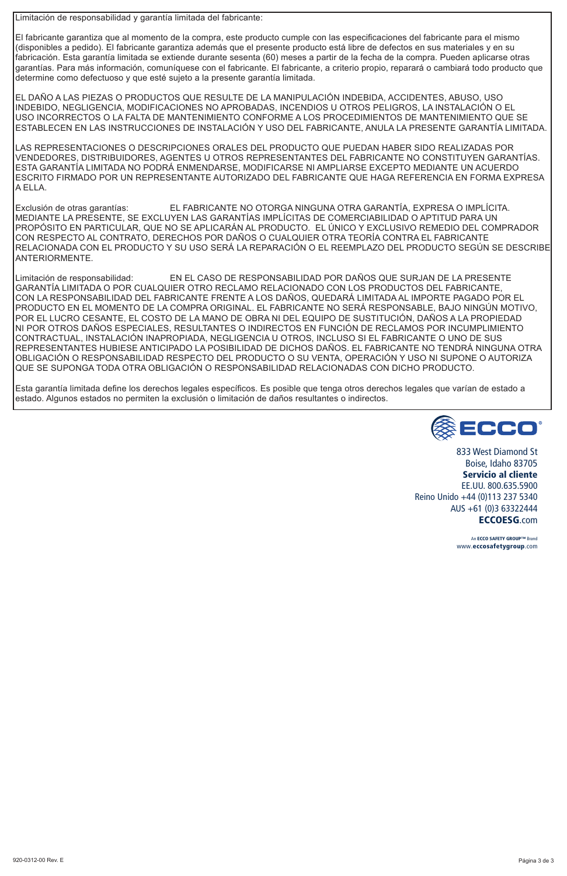Limitación de responsabilidad y garantía limitada del fabricante:

El fabricante garantiza que al momento de la compra, este producto cumple con las especificaciones del fabricante para el mismo (disponibles a pedido). El fabricante garantiza además que el presente producto está libre de defectos en sus materiales y en su fabricación. Esta garantía limitada se extiende durante sesenta (60) meses a partir de la fecha de la compra. Pueden aplicarse otras garantías. Para más información, comuníquese con el fabricante. El fabricante, a criterio propio, reparará o cambiará todo producto que determine como defectuoso y que esté sujeto a la presente garantía limitada.

EL DAÑO A LAS PIEZAS O PRODUCTOS QUE RESULTE DE LA MANIPULACIÓN INDEBIDA, ACCIDENTES, ABUSO, USO INDEBIDO, NEGLIGENCIA, MODIFICACIONES NO APROBADAS, INCENDIOS U OTROS PELIGROS, LA INSTALACIÓN O EL USO INCORRECTOS O LA FALTA DE MANTENIMIENTO CONFORME A LOS PROCEDIMIENTOS DE MANTENIMIENTO QUE SE ESTABLECEN EN LAS INSTRUCCIONES DE INSTALACIÓN Y USO DEL FABRICANTE, ANULA LA PRESENTE GARANTÍA LIMITADA.

LAS REPRESENTACIONES O DESCRIPCIONES ORALES DEL PRODUCTO QUE PUEDAN HABER SIDO REALIZADAS POR VENDEDORES, DISTRIBUIDORES, AGENTES U OTROS REPRESENTANTES DEL FABRICANTE NO CONSTITUYEN GARANTÍAS. ESTA GARANTÍA LIMITADA NO PODRÁ ENMENDARSE, MODIFICARSE NI AMPLIARSE EXCEPTO MEDIANTE UN ACUERDO ESCRITO FIRMADO POR UN REPRESENTANTE AUTORIZADO DEL FABRICANTE QUE HAGA REFERENCIA EN FORMA EXPRESA A ELLA.

Exclusión de otras garantías: EL FABRICANTE NO OTORGA NINGUNA OTRA GARANTÍA, EXPRESA O IMPLÍCITA. MEDIANTE LA PRESENTE, SE EXCLUYEN LAS GARANTÍAS IMPLÍCITAS DE COMERCIABILIDAD O APTITUD PARA UN PROPÓSITO EN PARTICULAR, QUE NO SE APLICARÁN AL PRODUCTO. EL ÚNICO Y EXCLUSIVO REMEDIO DEL COMPRADOR CON RESPECTO AL CONTRATO, DERECHOS POR DAÑOS O CUALQUIER OTRA TEORÍA CONTRA EL FABRICANTE RELACIONADA CON EL PRODUCTO Y SU USO SERÁ LA REPARACIÓN O EL REEMPLAZO DEL PRODUCTO SEGÚN SE DESCRIBE ANTERIORMENTE.

Limitación de responsabilidad: EN EL CASO DE RESPONSABILIDAD POR DAÑOS QUE SURJAN DE LA PRESENTE GARANTÍA LIMITADA O POR CUALQUIER OTRO RECLAMO RELACIONADO CON LOS PRODUCTOS DEL FABRICANTE, CON LA RESPONSABILIDAD DEL FABRICANTE FRENTE A LOS DAÑOS, QUEDARÁ LIMITADA AL IMPORTE PAGADO POR EL PRODUCTO EN EL MOMENTO DE LA COMPRA ORIGINAL. EL FABRICANTE NO SERÁ RESPONSABLE, BAJO NINGÚN MOTIVO, POR EL LUCRO CESANTE, EL COSTO DE LA MANO DE OBRA NI DEL EQUIPO DE SUSTITUCIÓN, DAÑOS A LA PROPIEDAD NI POR OTROS DAÑOS ESPECIALES, RESULTANTES O INDIRECTOS EN FUNCIÓN DE RECLAMOS POR INCUMPLIMIENTO CONTRACTUAL, INSTALACIÓN INAPROPIADA, NEGLIGENCIA U OTROS, INCLUSO SI EL FABRICANTE O UNO DE SUS REPRESENTANTES HUBIESE ANTICIPADO LA POSIBILIDAD DE DICHOS DAÑOS. EL FABRICANTE NO TENDRÁ NINGUNA OTRA OBLIGACIÓN O RESPONSABILIDAD RESPECTO DEL PRODUCTO O SU VENTA, OPERACIÓN Y USO NI SUPONE O AUTORIZA QUE SE SUPONGA TODA OTRA OBLIGACIÓN O RESPONSABILIDAD RELACIONADAS CON DICHO PRODUCTO.

Esta garantía limitada define los derechos legales específicos. Es posible que tenga otros derechos legales que varían de estado a estado. Algunos estados no permiten la exclusión o limitación de daños resultantes o indirectos.



833 West Diamond St Boise, Idaho 83705 Servicio al cliente EE.UU. 800.635.5900 Reino Unido +44 (0)113 237 5340 AUS +61 (0)3 63322444 ECCOESG.com

> An ECCO SAFETY GROUP™ Brand www.eccosafetygroup.com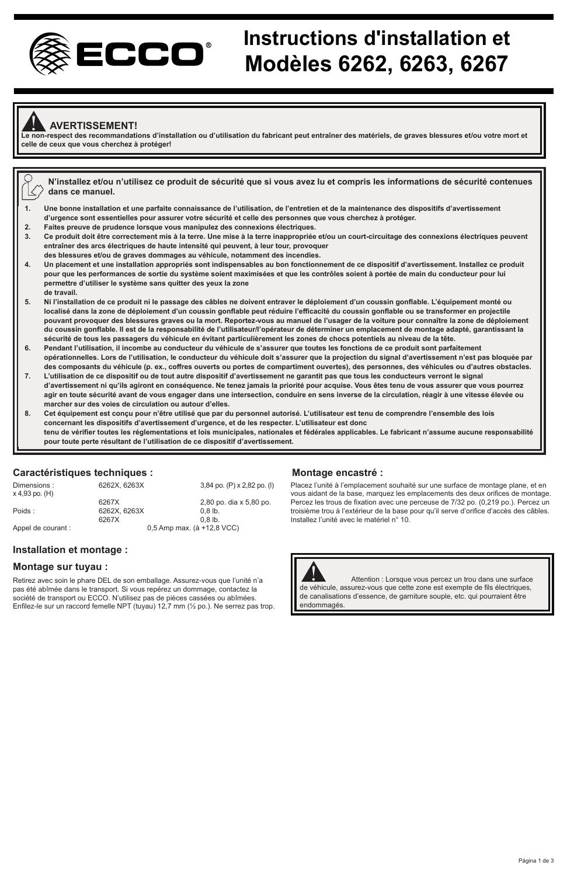

# **Instructions d'installation et Modèles 6262, 6263, 6267**

### ! **AVERTISSEMENT!**

**Le non-respect des recommandations d'installation ou d'utilisation du fabricant peut entraîner des matériels, de graves blessures et/ou votre mort et celle de ceux que vous cherchez à protéger!**

- **N'installez et/ou n'utilisez ce produit de sécurité que si vous avez lu et compris les informations de sécurité contenues dans ce manuel.**
- **1. Une bonne installation et une parfaite connaissance de l'utilisation, de l'entretien et de la maintenance des dispositifs d'avertissement d'urgence sont essentielles pour assurer votre sécurité et celle des personnes que vous cherchez à protéger.**
- **2. Faites preuve de prudence lorsque vous manipulez des connexions électriques.**
- Ce produit doit être correctement mis à la terre. Une mise à la terre inappropriée et/ou un court-circuitage des connexions électriques peuvent **entraîner des arcs électriques de haute intensité qui peuvent, à leur tour, provoquer**
- **des blessures et/ou de graves dommages au véhicule, notamment des incendies. 4. Un placement et une installation appropriés sont indispensables au bon fonctionnement de ce dispositif d'avertissement. Installez ce produit pour que les performances de sortie du système soient maximisées et que les contrôles soient à portée de main du conducteur pour lui permettre d'utiliser le système sans quitter des yeux la zone de travail.**
- **5. Ni l'installation de ce produit ni le passage des câbles ne doivent entraver le déploiement d'un coussin gonflable. L'équipement monté ou localisé dans la zone de déploiement d'un coussin gonflable peut réduire l'efficacité du coussin gonflable ou se transformer en projectile**  pouvant provoquer des blessures graves ou la mort. Reportez-vous au manuel de l'usager de la voiture pour connaître la zone de déploiement **du coussin gonflable. Il est de la responsabilité de l'utilisateur/l'opérateur de déterminer un emplacement de montage adapté, garantissant la sécurité de tous les passagers du véhicule en évitant particulièrement les zones de chocs potentiels au niveau de la tête.**
- **6. Pendant l'utilisation, il incombe au conducteur du véhicule de s'assurer que toutes les fonctions de ce produit sont parfaitement opérationnelles. Lors de l'utilisation, le conducteur du véhicule doit s'assurer que la projection du signal d'avertissement n'est pas bloquée par des composants du véhicule (p. ex., coffres ouverts ou portes de compartiment ouvertes), des personnes, des véhicules ou d'autres obstacles.**
- **7. L'utilisation de ce dispositif ou de tout autre dispositif d'avertissement ne garantit pas que tous les conducteurs verront le signal d'avertissement ni qu'ils agiront en conséquence. Ne tenez jamais la priorité pour acquise. Vous êtes tenu de vous assurer que vous pourrez agir en toute sécurité avant de vous engager dans une intersection, conduire en sens inverse de la circulation, réagir à une vitesse élevée ou marcher sur des voies de circulation ou autour d'elles.**
- **8. Cet équipement est conçu pour n'être utilisé que par du personnel autorisé. L'utilisateur est tenu de comprendre l'ensemble des lois concernant les dispositifs d'avertissement d'urgence, et de les respecter. L'utilisateur est donc tenu de vérifier toutes les réglementations et lois municipales, nationales et fédérales applicables. Le fabricant n'assume aucune responsabilité pour toute perte résultant de l'utilisation de ce dispositif d'avertissement.**

### **Caractéristiques techniques :**

| Dimensions:<br>x 4,93 po. (H) | 6262X, 6263X | 3,84 po. (P) x 2,82 po. (I) |
|-------------------------------|--------------|-----------------------------|
|                               | 6267X        | 2,80 po. dia x 5,80 po.     |
| Poids:                        | 6262X, 6263X | $0.8$ lb.                   |
|                               | 6267X        | $0.8$ lb.                   |
| Appel de courant :            |              | 0,5 Amp max. (à +12,8 VCC)  |

#### **Installation et montage :**

#### **Montage sur tuyau :**

Retirez avec soin le phare DEL de son emballage. Assurez-vous que l'unité n'a pas été abîmée dans le transport. Si vous repérez un dommage, contactez la société de transport ou ECCO. N'utilisez pas de pièces cassées ou abîmées. Enfilez-le sur un raccord femelle NPT (tuyau) 12,7 mm (½ po.). Ne serrez pas trop.

#### **Montage encastré :**

Placez l'unité à l'emplacement souhaité sur une surface de montage plane, et en vous aidant de la base, marquez les emplacements des deux orifices de montage. Percez les trous de fixation avec une perceuse de 7/32 po. (0,219 po.). Percez un troisième trou à l'extérieur de la base pour qu'il serve d'orifice d'accès des câbles. Installez l'unité avec le matériel n° 10.



Attention : Lorsque vous percez un trou dans une surface Attention : Lorsque vous percez un trou dans une surface<br>de véhicule, assurez-vous que cette zone est exempte de fils électriques, de canalisations d'essence, de garniture souple, etc. qui pourraient être endommagés.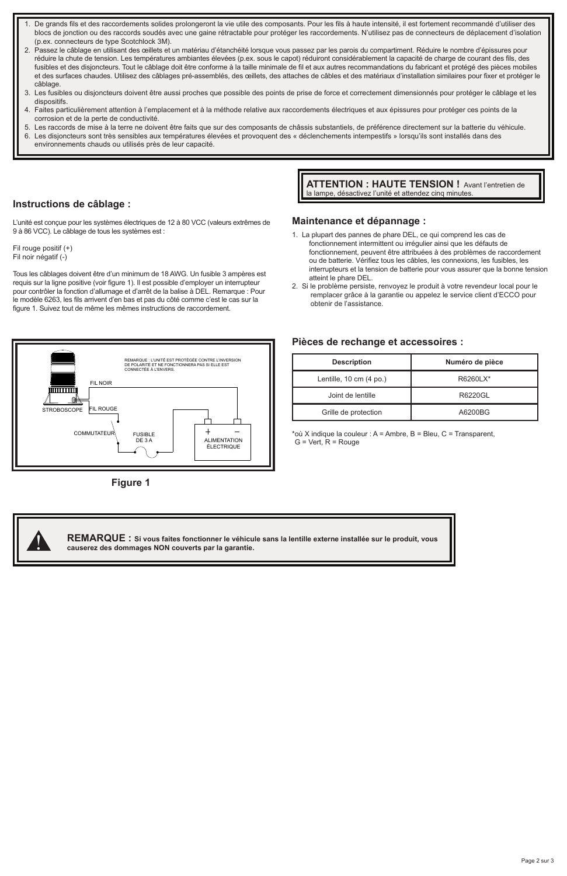- De grands fils et des raccordements solides prolongeront la vie utile des composants. Pour les fils à haute intensité, il est fortement recommandé d'utiliser des blocs de jonction ou des raccords soudés avec une gaine rétractable pour protéger les raccordements. N'utilisez pas de connecteurs de déplacement d'isolation (p.ex. connecteurs de type Scotchlock 3M).
- 2. Passez le câblage en utilisant des œillets et un matériau d'étanchéité lorsque vous passez par les parois du compartiment. Réduire le nombre d'épissures pour réduire la chute de tension. Les températures ambiantes élevées (p.ex. sous le capot) réduiront considérablement la capacité de charge de courant des fils, des fusibles et des disjoncteurs. Tout le câblage doit être conforme à la taille minimale de fil et aux autres recommandations du fabricant et protégé des pièces mobiles et des surfaces chaudes. Utilisez des câblages pré-assemblés, des œillets, des attaches de câbles et des matériaux d'installation similaires pour fixer et protéger le câblage.
- 3. Les fusibles ou disjoncteurs doivent être aussi proches que possible des points de prise de force et correctement dimensionnés pour protéger le câblage et les dispositifs.
- 4. Faites particulièrement attention à l'emplacement et à la méthode relative aux raccordements électriques et aux épissures pour protéger ces points de la corrosion et de la perte de conductivité.
- 5. Les raccords de mise à la terre ne doivent être faits que sur des composants de châssis substantiels, de préférence directement sur la batterie du véhicule.
- 6. Les disjoncteurs sont très sensibles aux températures élevées et provoquent des « déclenchements intempestifs » lorsqu'ils sont installés dans des environnements chauds ou utilisés près de leur capacité.

#### **Instructions de câblage :**

L'unité est conçue pour les systèmes électriques de 12 à 80 VCC (valeurs extrêmes de 9 à 86 VCC). Le câblage de tous les systèmes est :

Fil rouge positif (+) Fil noir négatif (-)

Tous les câblages doivent être d'un minimum de 18 AWG. Un fusible 3 ampères est requis sur la ligne positive (voir figure 1). Il est possible d'employer un interrupteur pour contrôler la fonction d'allumage et d'arrêt de la balise à DEL. Remarque : Pour le modèle 6263, les fils arrivent d'en bas et pas du côté comme c'est le cas sur la figure 1. Suivez tout de même les mêmes instructions de raccordement.





**ATTENTION : HAUTE TENSION !** Avant l'entretien de la lampe, désactivez l'unité et attendez cinq minutes

#### **Maintenance et dépannage :**

- 1. La plupart des pannes de phare DEL, ce qui comprend les cas de fonctionnement intermittent ou irrégulier ainsi que les défauts de fonctionnement, peuvent être attribuées à des problèmes de raccordement ou de batterie. Vérifiez tous les câbles, les connexions, les fusibles, les interrupteurs et la tension de batterie pour vous assurer que la bonne tension atteint le phare DEL.
- 2. Si le problème persiste, renvoyez le produit à votre revendeur local pour le remplacer grâce à la garantie ou appelez le service client d'ECCO pour obtenir de l'assistance.

#### **Pièces de rechange et accessoires :**

| <b>Description</b>      | Numéro de pièce |
|-------------------------|-----------------|
| Lentille, 10 cm (4 po.) | R6260LX*        |
| Joint de lentille       | R6220GL         |
| Grille de protection    | A6200BG         |

\*où X indique la couleur : A = Ambre, B = Bleu, C = Transparent,  $G = Vert$ .  $R = Rouge$ 



**REMARQUE : Si vous faites fonctionner le véhicule sans la lentille externe installée sur le produit, vous** ! **causerez des dommages NON couverts par la garantie.**